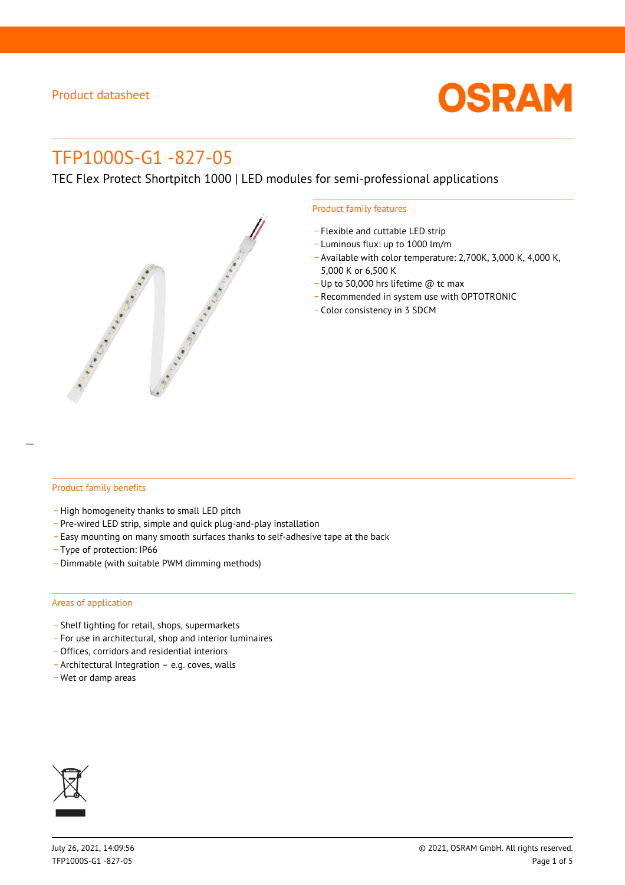

# TFP1000S-G1 -827-05

TEC Flex Protect Shortpitch 1000 | LED modules for semi-professional applications



#### Product family features

- Flexible and cuttable LED strip
- \_ Luminous flux: up to 1000 lm/m
- Available with color temperature: 2,700K, 3,000 K, 4,000 K, 5,000 K or 6,500 K
- \_ Up to 50,000 hrs lifetime @ tc max
- \_ Recommended in system use with OPTOTRONIC
- \_ Color consistency in 3 SDCM

#### Product family benefits

- High homogeneity thanks to small LED pitch
- \_ Pre-wired LED strip, simple and quick plug-and-play installation
- \_ Easy mounting on many smooth surfaces thanks to self-adhesive tape at the back
- \_ Type of protection: IP66
- \_ Dimmable (with suitable PWM dimming methods)

#### Areas of application

- \_ Shelf lighting for retail, shops, supermarkets
- \_ For use in architectural, shop and interior luminaires
- \_ Offices, corridors and residential interiors
- \_ Architectural Integration e.g. coves, walls
- \_ Wet or damp areas

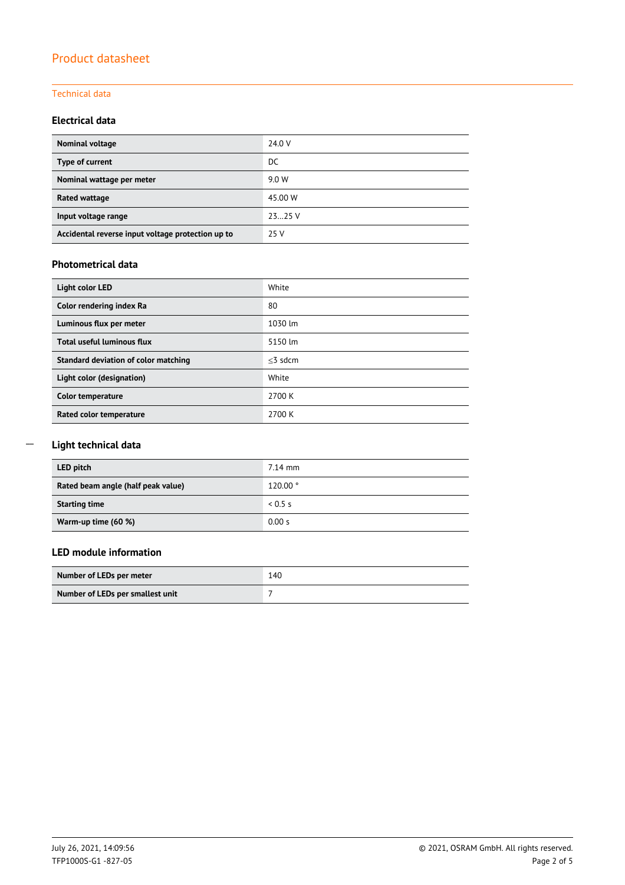## Product datasheet

#### Technical data

## **Electrical data**

| Nominal voltage                                   | 24.0 V  |
|---------------------------------------------------|---------|
| Type of current                                   | DC.     |
| Nominal wattage per meter                         | 9.0 W   |
| Rated wattage                                     | 45.00 W |
| Input voltage range                               | 2325V   |
| Accidental reverse input voltage protection up to | 25 V    |

#### **Photometrical data**

| Light color LED                      | White      |
|--------------------------------------|------------|
| Color rendering index Ra             | 80         |
| Luminous flux per meter              | 1030 lm    |
| Total useful luminous flux           | 5150 lm    |
| Standard deviation of color matching | $<$ 3 sdcm |
| Light color (designation)            | White      |
| Color temperature                    | 2700 K     |
| Rated color temperature              | 2700 K     |

## **Light technical data**

\_\_

| LED pitch                          | $7.14$ mm |
|------------------------------------|-----------|
| Rated beam angle (half peak value) | 120.00°   |
| <b>Starting time</b>               | 0.5s      |
| Warm-up time (60 %)                | 0.00 s    |

## **LED module information**

| Number of LEDs per meter         | 140 |
|----------------------------------|-----|
| Number of LEDs per smallest unit |     |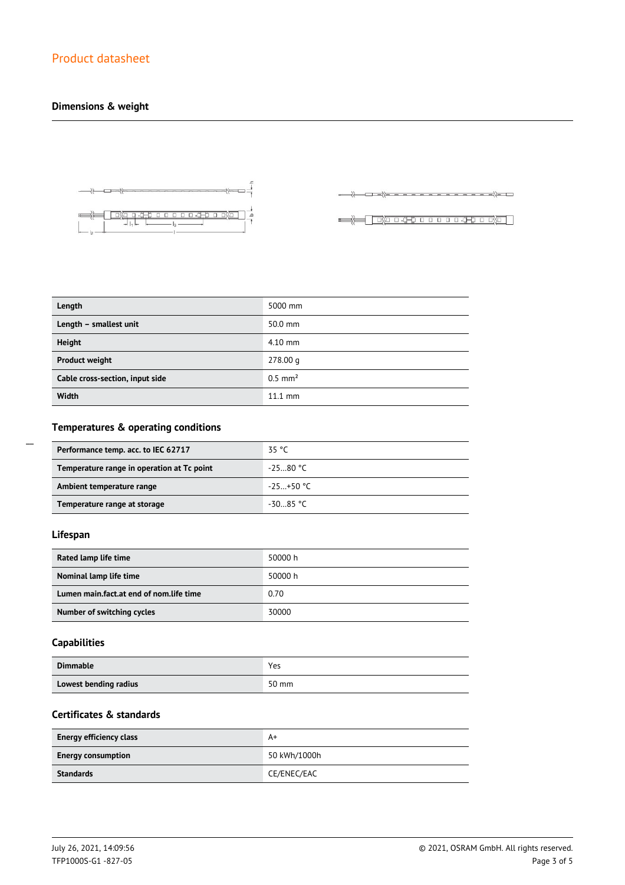## **Dimensions & weight**



 $\longrightarrow\hspace*{-1.2cm} \langle\qquad \longmapsto \hspace*{-1.2cm} \longrightarrow \hspace*{-1.2cm} \langle \longmapsto \hspace*{-1.2cm}\rangle \hspace*{-1.2cm} \longrightarrow \hspace*{-1.2cm} \langle \longmapsto \hspace*{-1.2cm}\rangle \hspace*{-1.2cm} \longrightarrow$ 

| Length                          | 5000 mm               |
|---------------------------------|-----------------------|
| Length - smallest unit          | 50.0 mm               |
| Height                          | $4.10$ mm             |
| <b>Product weight</b>           | 278.00 g              |
| Cable cross-section, input side | $0.5$ mm <sup>2</sup> |
| Width                           | $11.1$ mm             |

## **Temperatures & operating conditions**

| Performance temp. acc. to IEC 62717        | 35 °C       |
|--------------------------------------------|-------------|
| Temperature range in operation at Tc point | $-2580 °C$  |
| Ambient temperature range                  | $-25+50$ °C |
| Temperature range at storage               | $-30.85$ °C |

## **Lifespan**

 $\overline{a}$ 

| Rated lamp life time                    | 50000 h |
|-----------------------------------------|---------|
| Nominal lamp life time                  | 50000 h |
| Lumen main.fact.at end of nom.life time | 0.70    |
| Number of switching cycles              | 30000   |

## **Capabilities**

| <b>Dimmable</b>       | Yes   |
|-----------------------|-------|
| Lowest bending radius | 50 mm |

## **Certificates & standards**

| <b>Energy efficiency class</b> | A+           |
|--------------------------------|--------------|
| <b>Energy consumption</b>      | 50 kWh/1000h |
| Standards                      | CE/ENEC/EAC  |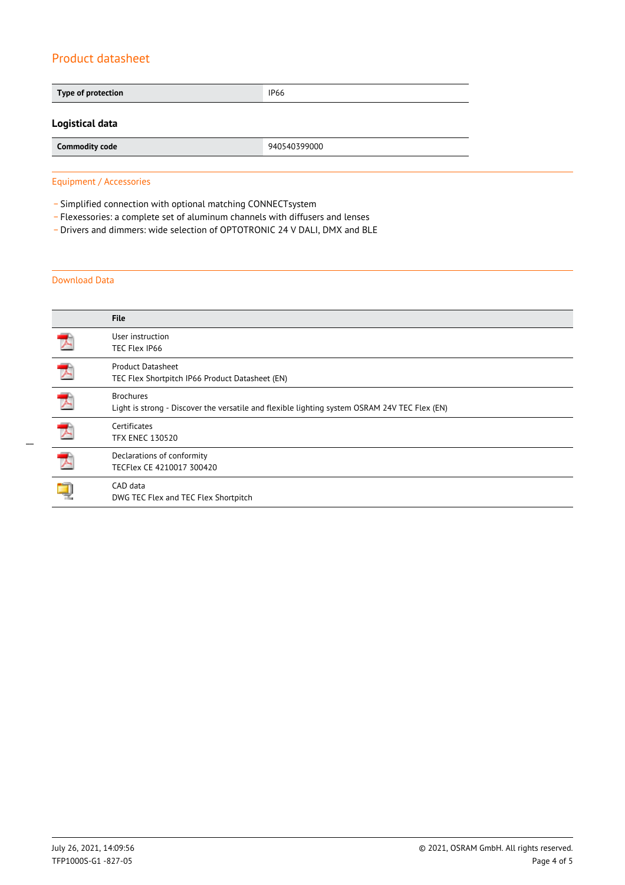## Product datasheet

| Type of protection    | <b>IP66</b>  |  |
|-----------------------|--------------|--|
| Logistical data       |              |  |
| <b>Commodity code</b> | 940540399000 |  |

Equipment / Accessories

- Simplified connection with optional matching CONNECTsystem

\_ Flexessories: a complete set of aluminum channels with diffusers and lenses

\_ Drivers and dimmers: wide selection of OPTOTRONIC 24 V DALI, DMX and BLE

#### Download Data

|   | <b>File</b>                                                                                                       |
|---|-------------------------------------------------------------------------------------------------------------------|
|   | User instruction<br>TEC Flex IP66                                                                                 |
|   | <b>Product Datasheet</b><br>TEC Flex Shortpitch IP66 Product Datasheet (EN)                                       |
|   | <b>Brochures</b><br>Light is strong - Discover the versatile and flexible lighting system OSRAM 24V TEC Flex (EN) |
| プ | Certificates<br><b>TFX ENEC 130520</b>                                                                            |
|   | Declarations of conformity<br>TECFlex CE 4210017 300420                                                           |
|   | CAD data<br>DWG TEC Flex and TEC Flex Shortpitch                                                                  |